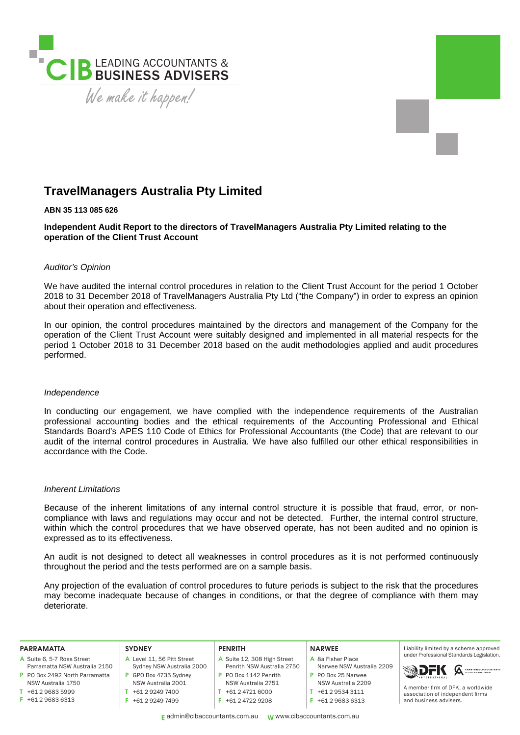

# **TravelManagers Australia Pty Limited**

#### **ABN 35 113 085 626**

**Independent Audit Report to the directors of TravelManagers Australia Pty Limited relating to the operation of the Client Trust Account** 

#### *Auditor's Opinion*

We have audited the internal control procedures in relation to the Client Trust Account for the period 1 October 2018 to 31 December 2018 of TravelManagers Australia Pty Ltd ("the Company") in order to express an opinion about their operation and effectiveness.

In our opinion, the control procedures maintained by the directors and management of the Company for the operation of the Client Trust Account were suitably designed and implemented in all material respects for the period 1 October 2018 to 31 December 2018 based on the audit methodologies applied and audit procedures performed.

#### *Independence*

In conducting our engagement, we have complied with the independence requirements of the Australian professional accounting bodies and the ethical requirements of the Accounting Professional and Ethical Standards Board's APES 110 Code of Ethics for Professional Accountants (the Code) that are relevant to our audit of the internal control procedures in Australia. We have also fulfilled our other ethical responsibilities in accordance with the Code.

#### *Inherent Limitations*

Because of the inherent limitations of any internal control structure it is possible that fraud, error, or noncompliance with laws and regulations may occur and not be detected. Further, the internal control structure, within which the control procedures that we have observed operate, has not been audited and no opinion is expressed as to its effectiveness.

An audit is not designed to detect all weaknesses in control procedures as it is not performed continuously throughout the period and the tests performed are on a sample basis.

Any projection of the evaluation of control procedures to future periods is subject to the risk that the procedures may become inadequate because of changes in conditions, or that the degree of compliance with them may deteriorate.

| <b>PARRAMATTA</b>              | <b>SYDNEY</b>              | <b>PENRITH</b>              | <b>NARWEE</b>             | Liability limited by a scheme approved    |
|--------------------------------|----------------------------|-----------------------------|---------------------------|-------------------------------------------|
| A Suite 6, 5-7 Ross Street     | A Level 11, 56 Pitt Street | A Suite 12, 308 High Street | A 8a Fisher Place         | under Professional Standards Legislation. |
| Parramatta NSW Australia 2150  | Sydney NSW Australia 2000  | Penrith NSW Australia 2750  | Narwee NSW Australia 2209 | <b>SDFK</b> A CHARTERED ACCOUNTANTS       |
| P PO Box 2492 North Parramatta | GPO Box 4735 Sydney        | P PO Box 1142 Penrith       | P PO Box 25 Narwee        | A member firm of DFK, a worldwide         |
| NSW Australia 1750             | NSW Australia 2001         | NSW Australia 2751          | NSW Australia 2209        |                                           |
| +61 2 9683 5999                | +61 2 9249 7400            | +61 2 4721 6000             | +61 2 9534 3111           | association of independent firms          |
| $F$ +61 2 9683 6313            | +61 2 9249 7499            | +61 2 4722 9208             | +61 2 9683 6313           | and business advisers.                    |